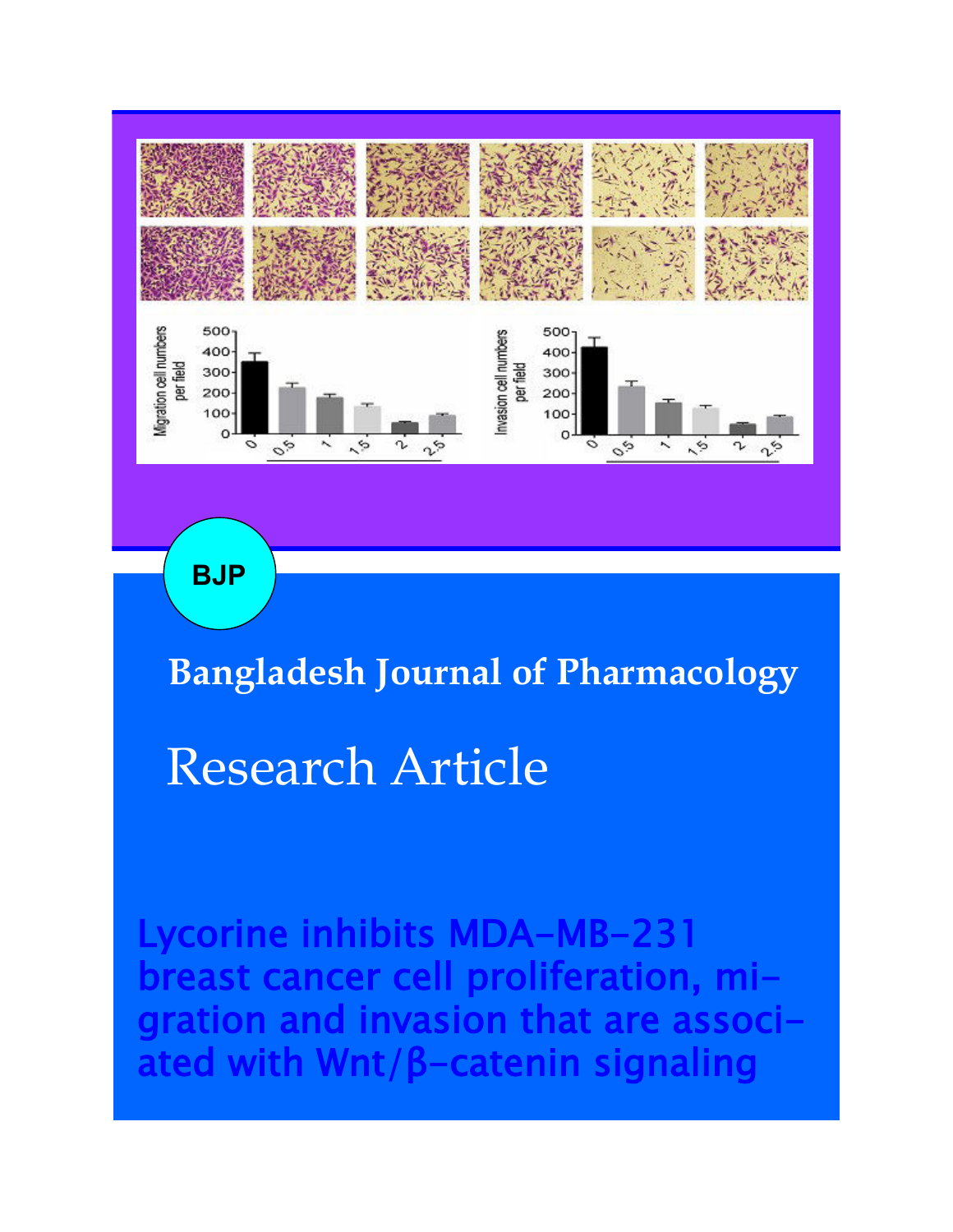

**BJP**

**Bangladesh Journal of Pharmacology** 

# Research Article

Lycorine inhibits MDA-MB-231 cancer cell proliferation, m ration and invasion that are asso ated with Wnt/β-catenin signaling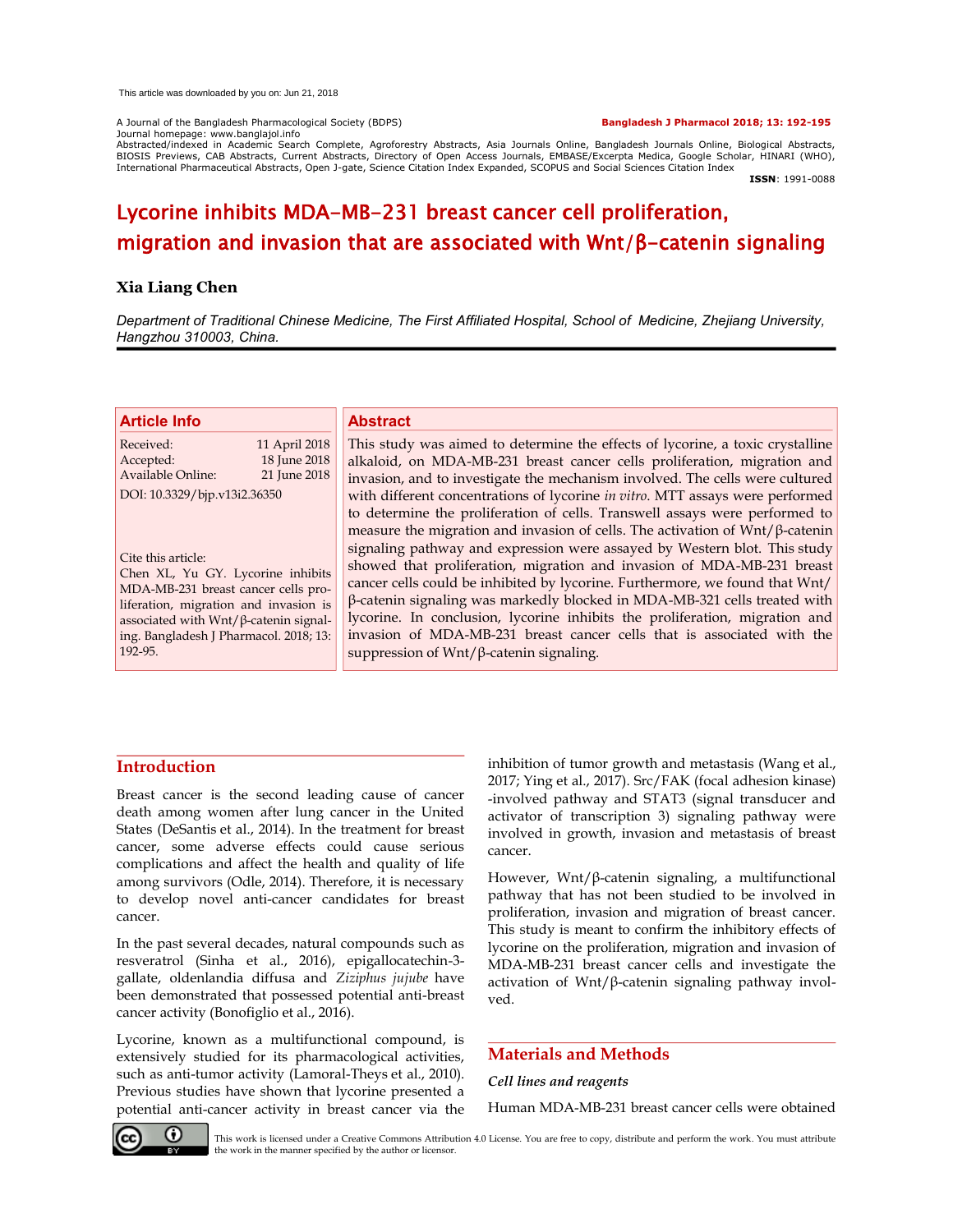A Journal of the Bangladesh Pharmacological Society (BDPS) **Bangladesh J Pharmacol 2018; 13: 192-195** Journal homepage: www.banglajol.info

Abstracted/indexed in Academic Search Complete, Agroforestry Abstracts, Asia Journals Online, Bangladesh Journals Online, Biological Abstracts, BIOSIS Previews, CAB Abstracts, Current Abstracts, Directory of Open Access Journals, EMBASE/Excerpta Medica, Google Scholar, HINARI (WHO), International Pharmaceutical Abstracts, Open J-gate, Science Citation Index Expanded, SCOPUS and Social Sciences Citation Index

**ISSN**: 1991-0088

# Lycorine inhibits MDA-MB-231 breast cancer cell proliferation, migration and invasion that are associated with Wnt/β-catenin signaling

#### **Xia Liang Chen**

*Department of Traditional Chinese Medicine, The First Affiliated Hospital, School of Medicine, Zhejiang University, Hangzhou 310003, China.*

| <b>Article Info</b>                                                                                                                                                                     |                                               | <b>Abstract</b>                                                                                                                                                                                                                                                                                                                                                                                                                                                                               |
|-----------------------------------------------------------------------------------------------------------------------------------------------------------------------------------------|-----------------------------------------------|-----------------------------------------------------------------------------------------------------------------------------------------------------------------------------------------------------------------------------------------------------------------------------------------------------------------------------------------------------------------------------------------------------------------------------------------------------------------------------------------------|
| Received:<br>Accepted:<br><b>Available Online:</b>                                                                                                                                      | 11 April 2018<br>18 June 2018<br>21 June 2018 | This study was aimed to determine the effects of lycorine, a toxic crystalline<br>alkaloid, on MDA-MB-231 breast cancer cells proliferation, migration and<br>invasion, and to investigate the mechanism involved. The cells were cultured                                                                                                                                                                                                                                                    |
| DOI: 10.3329/bjp.v13i2.36350                                                                                                                                                            |                                               | with different concentrations of lycorine in vitro. MTT assays were performed<br>to determine the proliferation of cells. Transwell assays were performed to                                                                                                                                                                                                                                                                                                                                  |
| Cite this article:<br>Chen XL, Yu GY. Lycorine inhibits<br>MDA-MB-231 breast cancer cells pro-<br>liferation, migration and invasion is<br>associated with $Wnt/\beta$ -catenin signal- |                                               | measure the migration and invasion of cells. The activation of $Wnt/\beta$ -catenin<br>signaling pathway and expression were assayed by Western blot. This study<br>showed that proliferation, migration and invasion of MDA-MB-231 breast<br>cancer cells could be inhibited by lycorine. Furthermore, we found that Wnt/<br>$\beta$ -catenin signaling was markedly blocked in MDA-MB-321 cells treated with<br>lycorine. In conclusion, lycorine inhibits the proliferation, migration and |
| ing. Bangladesh J Pharmacol. 2018; 13:<br>192-95.                                                                                                                                       |                                               | invasion of MDA-MB-231 breast cancer cells that is associated with the<br>suppression of $Wnt/\beta$ -catenin signaling.                                                                                                                                                                                                                                                                                                                                                                      |

# **Introduction**

Breast cancer is the second leading cause of cancer death among women after lung cancer in the United States (DeSantis et al., 2014). In the treatment for breast cancer, some adverse effects could cause serious complications and affect the health and quality of life among survivors (Odle, 2014). Therefore, it is necessary to develop novel anti-cancer candidates for breast cancer.

In the past several decades, natural compounds such as resveratrol (Sinha et al., 2016), epigallocatechin-3 gallate, oldenlandia diffusa and *Ziziphus jujube* have been demonstrated that possessed potential anti-breast cancer activity (Bonofiglio et al., 2016).

Lycorine, known as a multifunctional compound, is extensively studied for its pharmacological activities, such as anti-tumor activity (Lamoral-Theys et al., 2010). Previous studies have shown that lycorine presented a potential anti-cancer activity in breast cancer via the inhibition of tumor growth and metastasis (Wang et al., 2017; Ying et al., 2017). Src/FAK (focal adhesion kinase) -involved pathway and STAT3 (signal transducer and activator of transcription 3) signaling pathway were involved in growth, invasion and metastasis of breast cancer.

However, Wnt/ $\beta$ -catenin signaling, a multifunctional pathway that has not been studied to be involved in proliferation, invasion and migration of breast cancer. This study is meant to confirm the inhibitory effects of lycorine on the proliferation, migration and invasion of MDA-MB-231 breast cancer cells and investigate the activation of Wnt/ $\beta$ -catenin signaling pathway involved.

## **Materials and Methods**

#### *Cell lines and reagents*

Human MDA-MB-231 breast cancer cells were obtained



This work is licensed under a Creative Commons Attribution 4.0 License. You are free to copy, distribute and perform the work. You must attribute the work in the manner specified by the author or licensor.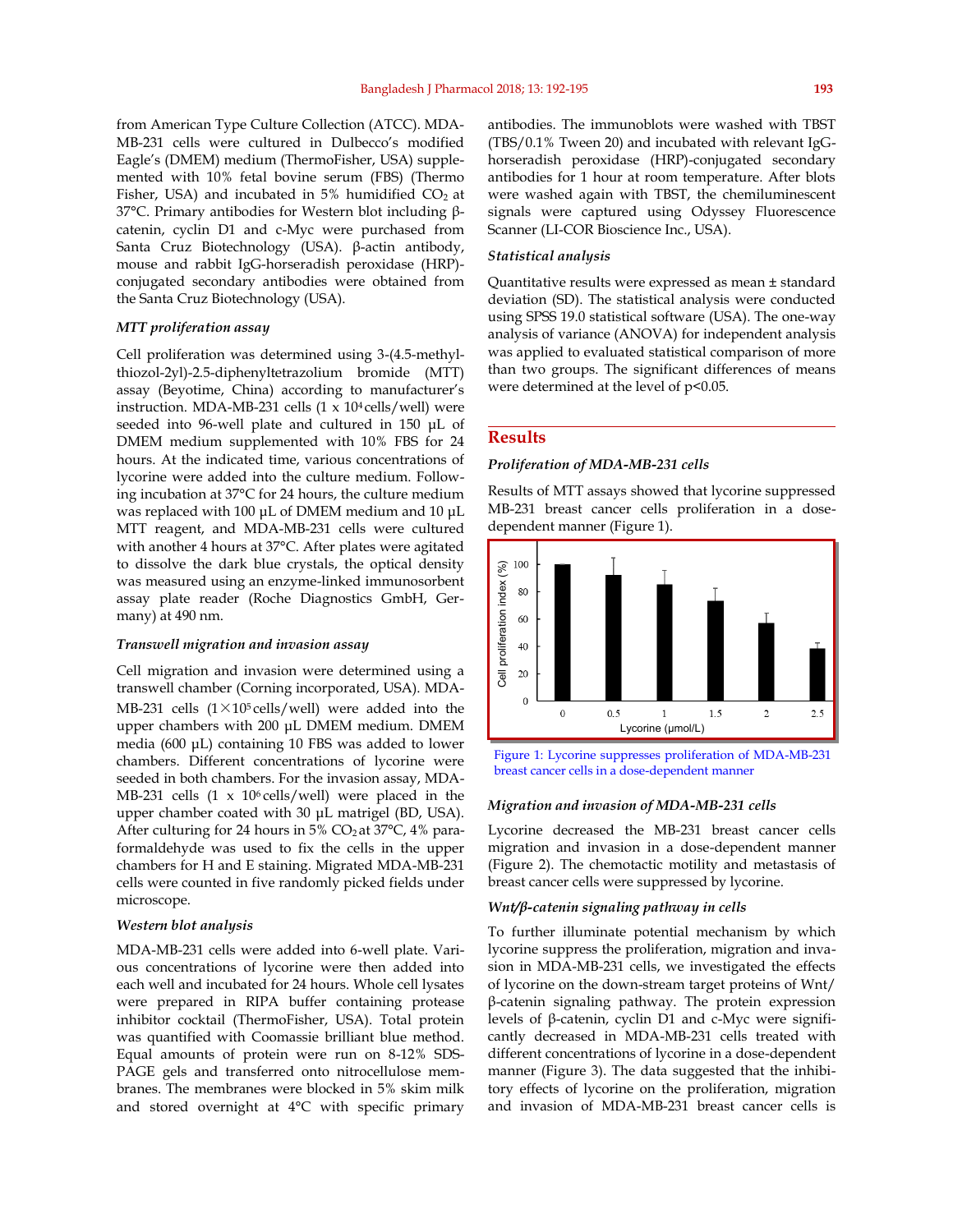from American Type Culture Collection (ATCC). MDA-MB-231 cells were cultured in Dulbecco's modified Eagle's (DMEM) medium (ThermoFisher, USA) supplemented with 10% fetal bovine serum (FBS) (Thermo Fisher, USA) and incubated in  $5%$  humidified CO<sub>2</sub> at 37°C. Primary antibodies for Western blot including  $\beta$ catenin, cyclin D1 and c-Myc were purchased from Santa Cruz Biotechnology (USA).  $\beta$ -actin antibody, mouse and rabbit IgG-horseradish peroxidase (HRP) conjugated secondary antibodies were obtained from the Santa Cruz Biotechnology (USA).

#### *MTT proliferation assay*

Cell proliferation was determined using 3-(4.5-methylthiozol-2yl)-2.5-diphenyltetrazolium bromide (MTT) assay (Beyotime, China) according to manufacturer's instruction. MDA-MB-231 cells  $(1 \times 10^4 \text{ cells/well})$  were seeded into 96-well plate and cultured in 150 μL of DMEM medium supplemented with 10% FBS for 24 hours. At the indicated time, various concentrations of lycorine were added into the culture medium. Following incubation at 37°C for 24 hours, the culture medium was replaced with 100 μL of DMEM medium and 10 μL MTT reagent, and MDA-MB-231 cells were cultured with another 4 hours at 37°C. After plates were agitated to dissolve the dark blue crystals, the optical density was measured using an enzyme-linked immunosorbent assay plate reader (Roche Diagnostics GmbH, Germany) at 490 nm.

#### *Transwell migration and invasion assay*

Cell migration and invasion were determined using a transwell chamber (Corning incorporated, USA). MDA-MB-231 cells  $(1 \times 10^5 \text{ cells/well})$  were added into the upper chambers with 200 μL DMEM medium. DMEM media (600 μL) containing 10 FBS was added to lower chambers. Different concentrations of lycorine were seeded in both chambers. For the invasion assay, MDA-MB-231 cells  $(1 \times 10^6 \text{ cells/well})$  were placed in the upper chamber coated with 30 μL matrigel (BD, USA). After culturing for 24 hours in 5%  $CO<sub>2</sub>$  at 37°C, 4% paraformaldehyde was used to fix the cells in the upper chambers for H and E staining. Migrated MDA-MB-231 cells were counted in five randomly picked fields under microscope.

#### *Western blot analysis*

MDA-MB-231 cells were added into 6-well plate. Various concentrations of lycorine were then added into each well and incubated for 24 hours. Whole cell lysates were prepared in RIPA buffer containing protease inhibitor cocktail (ThermoFisher, USA). Total protein was quantified with Coomassie brilliant blue method. Equal amounts of protein were run on 8-12% SDS-PAGE gels and transferred onto nitrocellulose membranes. The membranes were blocked in 5% skim milk and stored overnight at 4°C with specific primary

antibodies. The immunoblots were washed with TBST (TBS/0.1% Tween 20) and incubated with relevant IgGhorseradish peroxidase (HRP)-conjugated secondary antibodies for 1 hour at room temperature. After blots were washed again with TBST, the chemiluminescent signals were captured using Odyssey Fluorescence Scanner (LI-COR Bioscience Inc., USA).

#### *Statistical analysis*

Quantitative results were expressed as mean ± standard deviation (SD). The statistical analysis were conducted using SPSS 19.0 statistical software (USA). The one-way analysis of variance (ANOVA) for independent analysis was applied to evaluated statistical comparison of more than two groups. The significant differences of means were determined at the level of  $p$ <0.05.

#### **Results**

#### *Proliferation of MDA-MB-231 cells*

Results of MTT assays showed that lycorine suppressed MB-231 breast cancer cells proliferation in a dosedependent manner (Figure 1).



Figure 1: Lycorine suppresses proliferation of MDA-MB-231

## *Migration and invasion of MDA-MB-231 cells*

Lycorine decreased the MB-231 breast cancer cells migration and invasion in a dose-dependent manner (Figure 2). The chemotactic motility and metastasis of breast cancer cells were suppressed by lycorine.

#### *Wnt/β-catenin signaling pathway in cells*

To further illuminate potential mechanism by which lycorine suppress the proliferation, migration and invasion in MDA-MB-231 cells, we investigated the effects of lycorine on the down-stream target proteins of Wnt/ ǃ-catenin signaling pathway. The protein expression levels of  $\beta$ -catenin, cyclin D1 and c-Myc were significantly decreased in MDA-MB-231 cells treated with different concentrations of lycorine in a dose-dependent manner (Figure 3). The data suggested that the inhibitory effects of lycorine on the proliferation, migration and invasion of MDA-MB-231 breast cancer cells is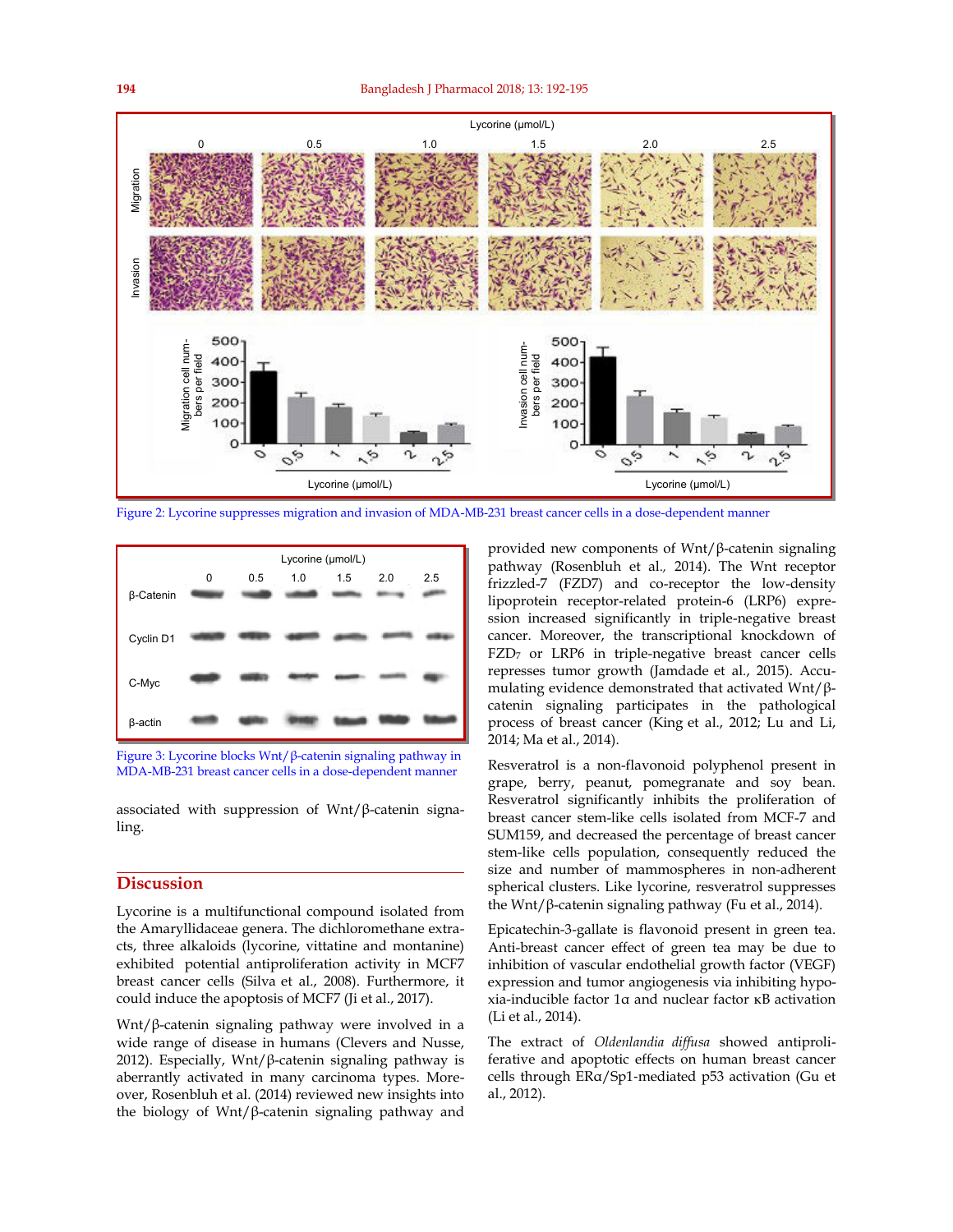

Figure 2: Lycorine suppresses migration and invasion of MDA-MB-231 breast cancer cells in a dose-dependent manner





associated with suppression of  $Wnt/\beta$ -catenin signaling.

#### **Discussion**

Lycorine is a multifunctional compound isolated from the Amaryllidaceae genera. The dichloromethane extracts, three alkaloids (lycorine, vittatine and montanine) exhibited potential antiproliferation activity in MCF7 breast cancer cells (Silva et al., 2008). Furthermore, it could induce the apoptosis of MCF7 (Ji et al., 2017).

Wnt/ $β$ -catenin signaling pathway were involved in a wide range of disease in humans (Clevers and Nusse, 2012). Especially, Wnt/ $\beta$ -catenin signaling pathway is aberrantly activated in many carcinoma types. Moreover, Rosenbluh et al. (2014) reviewed new insights into the biology of Wnt/ $\beta$ -catenin signaling pathway and

provided new components of  $Wnt/\beta$ -catenin signaling pathway (Rosenbluh et al*.,* 2014). The Wnt receptor frizzled-7 (FZD7) and co-receptor the low-density lipoprotein receptor-related protein-6 (LRP6) expression increased significantly in triple-negative breast cancer. Moreover, the transcriptional knockdown of FZD<sub>7</sub> or LRP6 in triple-negative breast cancer cells represses tumor growth (Jamdade et al*.*, 2015). Accumulating evidence demonstrated that activated Wnt/ $\beta$ catenin signaling participates in the pathological process of breast cancer (King et al., 2012; Lu and Li, 2014; Ma et al., 2014).

Resveratrol is a non-flavonoid polyphenol present in grape, berry, peanut, pomegranate and soy bean. Resveratrol significantly inhibits the proliferation of breast cancer stem-like cells isolated from MCF-7 and SUM159, and decreased the percentage of breast cancer stem-like cells population, consequently reduced the size and number of mammospheres in non-adherent spherical clusters. Like lycorine, resveratrol suppresses the Wnt/ $\beta$ -catenin signaling pathway (Fu et al., 2014).

Epicatechin-3-gallate is flavonoid present in green tea. Anti-breast cancer effect of green tea may be due to inhibition of vascular endothelial growth factor (VEGF) expression and tumor angiogenesis via inhibiting hypoxia-inducible factor 1ǂ and nuclear factor κB activation (Li et al., 2014).

The extract of *Oldenlandia diffusa* showed antiproliferative and apoptotic effects on human breast cancer cells through ERa/Sp1-mediated p53 activation (Gu et al., 2012).